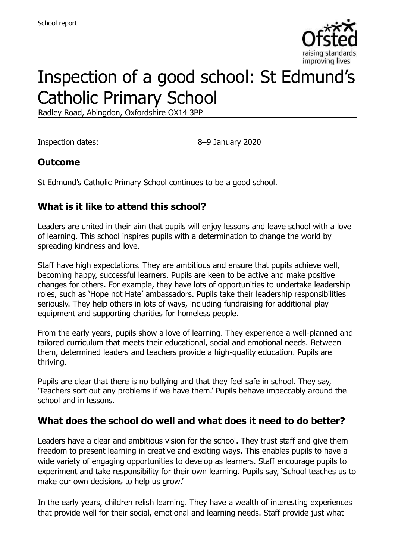

# Inspection of a good school: St Edmund's Catholic Primary School

Radley Road, Abingdon, Oxfordshire OX14 3PP

Inspection dates: 8–9 January 2020

## **Outcome**

St Edmund's Catholic Primary School continues to be a good school.

# **What is it like to attend this school?**

Leaders are united in their aim that pupils will enjoy lessons and leave school with a love of learning. This school inspires pupils with a determination to change the world by spreading kindness and love.

Staff have high expectations. They are ambitious and ensure that pupils achieve well, becoming happy, successful learners. Pupils are keen to be active and make positive changes for others. For example, they have lots of opportunities to undertake leadership roles, such as 'Hope not Hate' ambassadors. Pupils take their leadership responsibilities seriously. They help others in lots of ways, including fundraising for additional play equipment and supporting charities for homeless people.

From the early years, pupils show a love of learning. They experience a well-planned and tailored curriculum that meets their educational, social and emotional needs. Between them, determined leaders and teachers provide a high-quality education. Pupils are thriving.

Pupils are clear that there is no bullying and that they feel safe in school. They say, 'Teachers sort out any problems if we have them.' Pupils behave impeccably around the school and in lessons.

#### **What does the school do well and what does it need to do better?**

Leaders have a clear and ambitious vision for the school. They trust staff and give them freedom to present learning in creative and exciting ways. This enables pupils to have a wide variety of engaging opportunities to develop as learners. Staff encourage pupils to experiment and take responsibility for their own learning. Pupils say, 'School teaches us to make our own decisions to help us grow.'

In the early years, children relish learning. They have a wealth of interesting experiences that provide well for their social, emotional and learning needs. Staff provide just what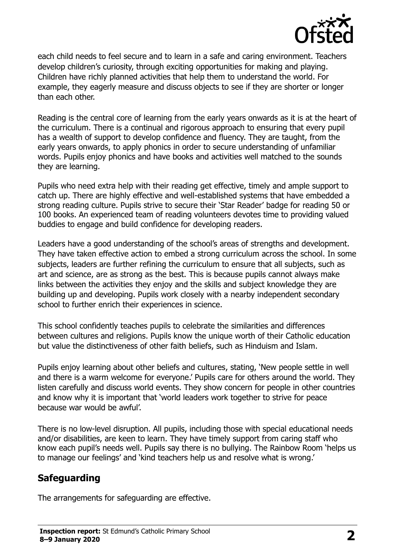

each child needs to feel secure and to learn in a safe and caring environment. Teachers develop children's curiosity, through exciting opportunities for making and playing. Children have richly planned activities that help them to understand the world. For example, they eagerly measure and discuss objects to see if they are shorter or longer than each other.

Reading is the central core of learning from the early years onwards as it is at the heart of the curriculum. There is a continual and rigorous approach to ensuring that every pupil has a wealth of support to develop confidence and fluency. They are taught, from the early years onwards, to apply phonics in order to secure understanding of unfamiliar words. Pupils enjoy phonics and have books and activities well matched to the sounds they are learning.

Pupils who need extra help with their reading get effective, timely and ample support to catch up. There are highly effective and well-established systems that have embedded a strong reading culture. Pupils strive to secure their 'Star Reader' badge for reading 50 or 100 books. An experienced team of reading volunteers devotes time to providing valued buddies to engage and build confidence for developing readers.

Leaders have a good understanding of the school's areas of strengths and development. They have taken effective action to embed a strong curriculum across the school. In some subjects, leaders are further refining the curriculum to ensure that all subjects, such as art and science, are as strong as the best. This is because pupils cannot always make links between the activities they enjoy and the skills and subject knowledge they are building up and developing. Pupils work closely with a nearby independent secondary school to further enrich their experiences in science.

This school confidently teaches pupils to celebrate the similarities and differences between cultures and religions. Pupils know the unique worth of their Catholic education but value the distinctiveness of other faith beliefs, such as Hinduism and Islam.

Pupils enjoy learning about other beliefs and cultures, stating, 'New people settle in well and there is a warm welcome for everyone.' Pupils care for others around the world. They listen carefully and discuss world events. They show concern for people in other countries and know why it is important that 'world leaders work together to strive for peace because war would be awful'.

There is no low-level disruption. All pupils, including those with special educational needs and/or disabilities, are keen to learn. They have timely support from caring staff who know each pupil's needs well. Pupils say there is no bullying. The Rainbow Room 'helps us to manage our feelings' and 'kind teachers help us and resolve what is wrong.'

# **Safeguarding**

The arrangements for safeguarding are effective.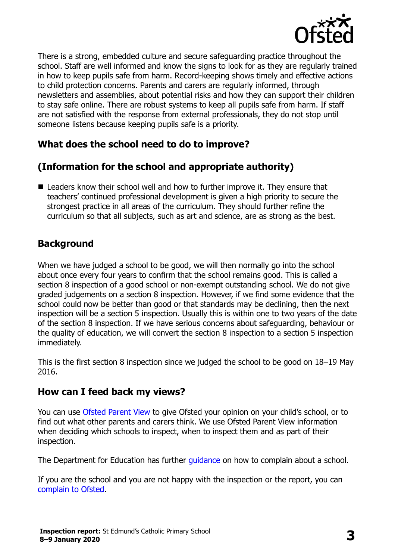

There is a strong, embedded culture and secure safeguarding practice throughout the school. Staff are well informed and know the signs to look for as they are regularly trained in how to keep pupils safe from harm. Record-keeping shows timely and effective actions to child protection concerns. Parents and carers are regularly informed, through newsletters and assemblies, about potential risks and how they can support their children to stay safe online. There are robust systems to keep all pupils safe from harm. If staff are not satisfied with the response from external professionals, they do not stop until someone listens because keeping pupils safe is a priority.

# **What does the school need to do to improve?**

# **(Information for the school and appropriate authority)**

■ Leaders know their school well and how to further improve it. They ensure that teachers' continued professional development is given a high priority to secure the strongest practice in all areas of the curriculum. They should further refine the curriculum so that all subjects, such as art and science, are as strong as the best.

#### **Background**

When we have judged a school to be good, we will then normally go into the school about once every four years to confirm that the school remains good. This is called a section 8 inspection of a good school or non-exempt outstanding school. We do not give graded judgements on a section 8 inspection. However, if we find some evidence that the school could now be better than good or that standards may be declining, then the next inspection will be a section 5 inspection. Usually this is within one to two years of the date of the section 8 inspection. If we have serious concerns about safeguarding, behaviour or the quality of education, we will convert the section 8 inspection to a section 5 inspection immediately.

This is the first section 8 inspection since we judged the school to be good on 18–19 May 2016.

#### **How can I feed back my views?**

You can use [Ofsted Parent View](https://parentview.ofsted.gov.uk/) to give Ofsted your opinion on your child's school, or to find out what other parents and carers think. We use Ofsted Parent View information when deciding which schools to inspect, when to inspect them and as part of their inspection.

The Department for Education has further quidance on how to complain about a school.

If you are the school and you are not happy with the inspection or the report, you can [complain to Ofsted.](https://www.gov.uk/complain-ofsted-report)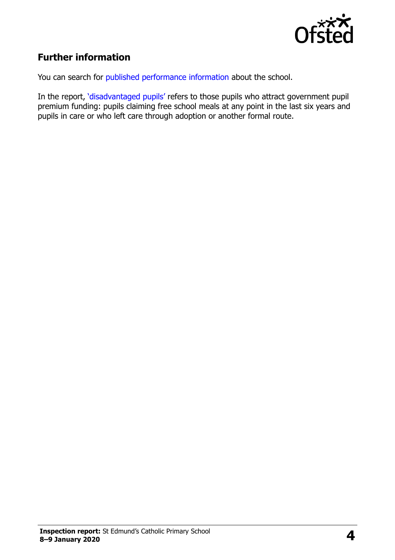

# **Further information**

You can search for [published performance information](http://www.compare-school-performance.service.gov.uk/) about the school.

In the report, '[disadvantaged pupils](http://www.gov.uk/guidance/pupil-premium-information-for-schools-and-alternative-provision-settings)' refers to those pupils who attract government pupil premium funding: pupils claiming free school meals at any point in the last six years and pupils in care or who left care through adoption or another formal route.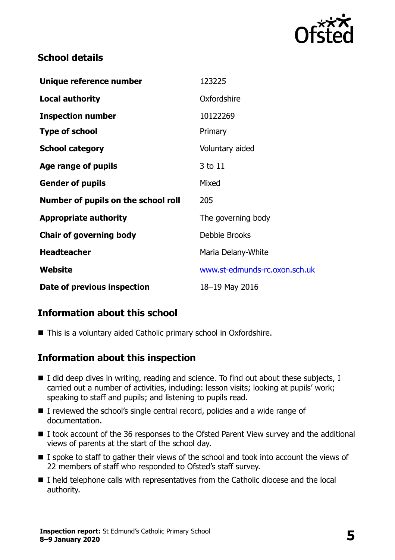

## **School details**

| Unique reference number             | 123225                        |
|-------------------------------------|-------------------------------|
| Local authority                     | Oxfordshire                   |
| <b>Inspection number</b>            | 10122269                      |
| <b>Type of school</b>               | Primary                       |
| <b>School category</b>              | Voluntary aided               |
| Age range of pupils                 | 3 to 11                       |
| <b>Gender of pupils</b>             | Mixed                         |
| Number of pupils on the school roll | 205                           |
| <b>Appropriate authority</b>        | The governing body            |
| <b>Chair of governing body</b>      | Debbie Brooks                 |
| <b>Headteacher</b>                  | Maria Delany-White            |
| Website                             | www.st-edmunds-rc.oxon.sch.uk |
| Date of previous inspection         | 18-19 May 2016                |

# **Information about this school**

■ This is a voluntary aided Catholic primary school in Oxfordshire.

#### **Information about this inspection**

- $\blacksquare$  I did deep dives in writing, reading and science. To find out about these subjects, I carried out a number of activities, including: lesson visits; looking at pupils' work; speaking to staff and pupils; and listening to pupils read.
- I reviewed the school's single central record, policies and a wide range of documentation.
- I took account of the 36 responses to the Ofsted Parent View survey and the additional views of parents at the start of the school day.
- $\blacksquare$  I spoke to staff to gather their views of the school and took into account the views of 22 members of staff who responded to Ofsted's staff survey.
- I held telephone calls with representatives from the Catholic diocese and the local authority.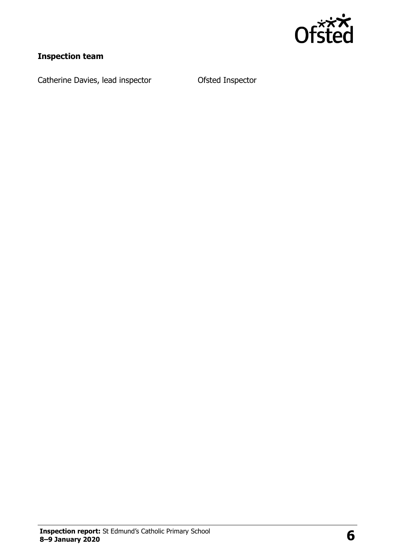

# **Inspection team**

Catherine Davies, lead inspector **Catherine Davies, lead inspector**